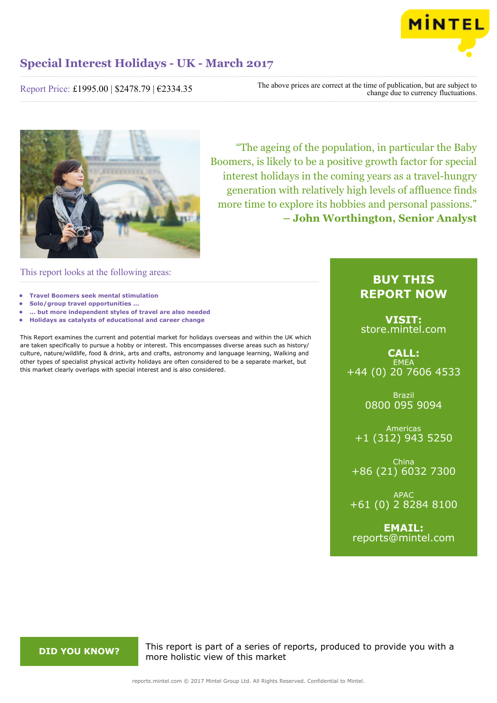

## **Special Interest Holidays - UK - March 2017**

Report Price: £1995.00 | \$2478.79 | €2334.35

The above prices are correct at the time of publication, but are subject to change due to currency fluctuations.



"The ageing of the population, in particular the Baby Boomers, is likely to be a positive growth factor for special interest holidays in the coming years as a travel-hungry generation with relatively high levels of affluence finds more time to explore its hobbies and personal passions." **– John Worthington, Senior Analyst**

This report looks at the following areas:

- **• Travel Boomers seek mental stimulation**
- **• Solo/group travel opportunities …**
- **• … but more independent styles of travel are also needed**
- **• Holidays as catalysts of educational and career change**

This Report examines the current and potential market for holidays overseas and within the UK which are taken specifically to pursue a hobby or interest. This encompasses diverse areas such as history/ culture, nature/wildlife, food & drink, arts and crafts, astronomy and language learning, Walking and other types of specialist physical activity holidays are often considered to be a separate market, but this market clearly overlaps with special interest and is also considered.

### **BUY THIS REPORT NOW**

**VISIT:** [store.mintel.com](http://reports.mintel.com//display/store/792729/)

**CALL: EMEA** +44 (0) 20 7606 4533

> Brazil 0800 095 9094

Americas +1 (312) 943 5250

China +86 (21) 6032 7300

APAC +61 (0) 2 8284 8100

**EMAIL:** [reports@mintel.com](mailto:reports@mintel.com)

**DID YOU KNOW?** This report is part of a series of reports, produced to provide you with a more holistic view of this market